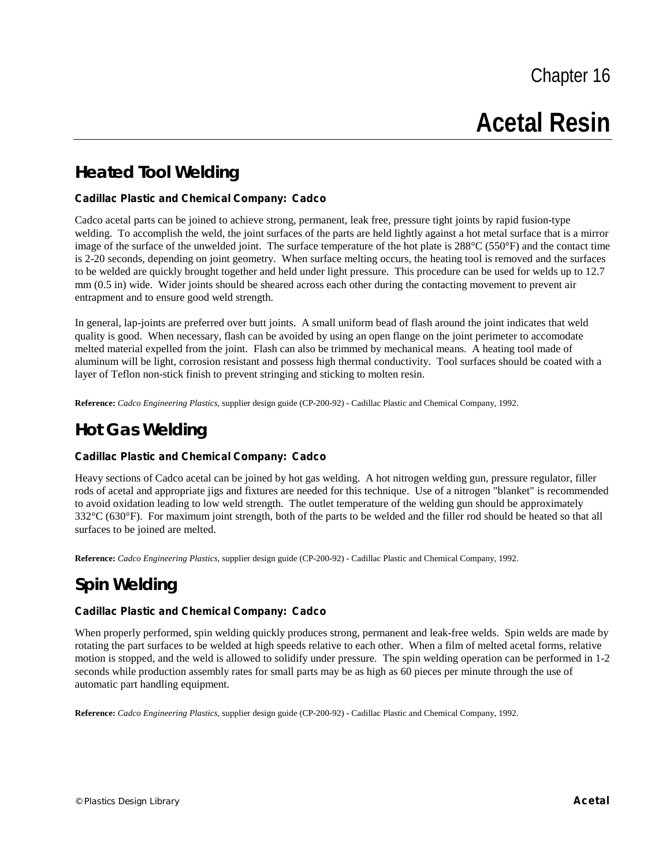# **Acetal Resin**

# **Heated Tool Welding**

### **Cadillac Plastic and Chemical Company: Cadco**

Cadco acetal parts can be joined to achieve strong, permanent, leak free, pressure tight joints by rapid fusion-type welding. To accomplish the weld, the joint surfaces of the parts are held lightly against a hot metal surface that is a mirror image of the surface of the unwelded joint. The surface temperature of the hot plate is  $288^{\circ}$ C (550°F) and the contact time is 2-20 seconds, depending on joint geometry. When surface melting occurs, the heating tool is removed and the surfaces to be welded are quickly brought together and held under light pressure. This procedure can be used for welds up to 12.7 mm (0.5 in) wide. Wider joints should be sheared across each other during the contacting movement to prevent air entrapment and to ensure good weld strength.

In general, lap-joints are preferred over butt joints. A small uniform bead of flash around the joint indicates that weld quality is good. When necessary, flash can be avoided by using an open flange on the joint perimeter to accomodate melted material expelled from the joint. Flash can also be trimmed by mechanical means. A heating tool made of aluminum will be light, corrosion resistant and possess high thermal conductivity. Tool surfaces should be coated with a layer of Teflon non-stick finish to prevent stringing and sticking to molten resin.

**Reference:** *Cadco Engineering Plastics,* supplier design guide (CP-200-92) - Cadillac Plastic and Chemical Company, 1992.

### **Hot Gas Welding**

#### **Cadillac Plastic and Chemical Company: Cadco**

Heavy sections of Cadco acetal can be joined by hot gas welding. A hot nitrogen welding gun, pressure regulator, filler rods of acetal and appropriate jigs and fixtures are needed for this technique. Use of a nitrogen "blanket" is recommended to avoid oxidation leading to low weld strength. The outlet temperature of the welding gun should be approximately 332°C (630°F). For maximum joint strength, both of the parts to be welded and the filler rod should be heated so that all surfaces to be joined are melted.

**Reference:** *Cadco Engineering Plastics,* supplier design guide (CP-200-92) - Cadillac Plastic and Chemical Company, 1992.

### **Spin Welding**

### **Cadillac Plastic and Chemical Company: Cadco**

When properly performed, spin welding quickly produces strong, permanent and leak-free welds. Spin welds are made by rotating the part surfaces to be welded at high speeds relative to each other. When a film of melted acetal forms, relative motion is stopped, and the weld is allowed to solidify under pressure. The spin welding operation can be performed in 1-2 seconds while production assembly rates for small parts may be as high as 60 pieces per minute through the use of automatic part handling equipment.

**Reference:** *Cadco Engineering Plastics,* supplier design guide (CP-200-92) - Cadillac Plastic and Chemical Company, 1992.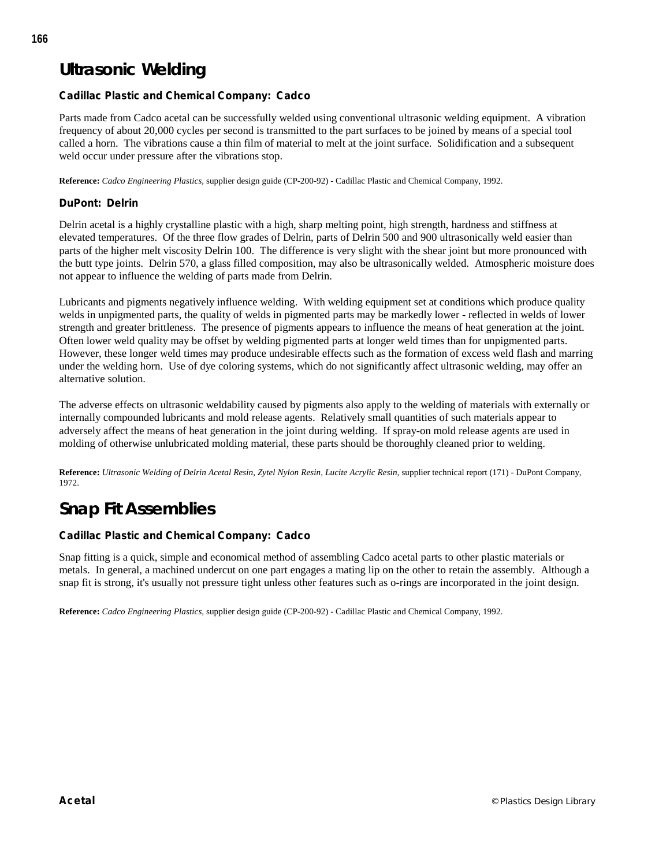# **Ultrasonic Welding**

### **Cadillac Plastic and Chemical Company: Cadco**

Parts made from Cadco acetal can be successfully welded using conventional ultrasonic welding equipment. A vibration frequency of about 20,000 cycles per second is transmitted to the part surfaces to be joined by means of a special tool called a horn. The vibrations cause a thin film of material to melt at the joint surface. Solidification and a subsequent weld occur under pressure after the vibrations stop.

**Reference:** *Cadco Engineering Plastics,* supplier design guide (CP-200-92) - Cadillac Plastic and Chemical Company, 1992.

#### **DuPont: Delrin**

Delrin acetal is a highly crystalline plastic with a high, sharp melting point, high strength, hardness and stiffness at elevated temperatures. Of the three flow grades of Delrin, parts of Delrin 500 and 900 ultrasonically weld easier than parts of the higher melt viscosity Delrin 100. The difference is very slight with the shear joint but more pronounced with the butt type joints. Delrin 570, a glass filled composition, may also be ultrasonically welded. Atmospheric moisture does not appear to influence the welding of parts made from Delrin.

Lubricants and pigments negatively influence welding. With welding equipment set at conditions which produce quality welds in unpigmented parts, the quality of welds in pigmented parts may be markedly lower - reflected in welds of lower strength and greater brittleness. The presence of pigments appears to influence the means of heat generation at the joint. Often lower weld quality may be offset by welding pigmented parts at longer weld times than for unpigmented parts. However, these longer weld times may produce undesirable effects such as the formation of excess weld flash and marring under the welding horn. Use of dye coloring systems, which do not significantly affect ultrasonic welding, may offer an alternative solution.

The adverse effects on ultrasonic weldability caused by pigments also apply to the welding of materials with externally or internally compounded lubricants and mold release agents. Relatively small quantities of such materials appear to adversely affect the means of heat generation in the joint during welding. If spray-on mold release agents are used in molding of otherwise unlubricated molding material, these parts should be thoroughly cleaned prior to welding.

**Reference:** *Ultrasonic Welding of Delrin Acetal Resin, Zytel Nylon Resin, Lucite Acrylic Resin,* supplier technical report (171) - DuPont Company, 1972.

# **Snap Fit Assemblies**

### **Cadillac Plastic and Chemical Company: Cadco**

Snap fitting is a quick, simple and economical method of assembling Cadco acetal parts to other plastic materials or metals. In general, a machined undercut on one part engages a mating lip on the other to retain the assembly. Although a snap fit is strong, it's usually not pressure tight unless other features such as o-rings are incorporated in the joint design.

**Reference:** *Cadco Engineering Plastics,* supplier design guide (CP-200-92) - Cadillac Plastic and Chemical Company, 1992.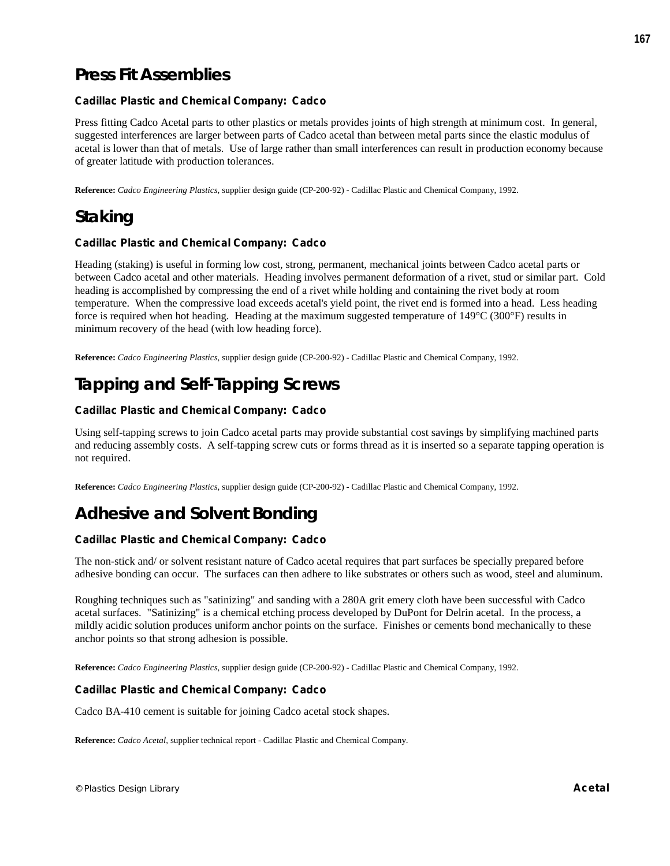### **Press Fit Assemblies**

### **Cadillac Plastic and Chemical Company: Cadco**

Press fitting Cadco Acetal parts to other plastics or metals provides joints of high strength at minimum cost. In general, suggested interferences are larger between parts of Cadco acetal than between metal parts since the elastic modulus of acetal is lower than that of metals. Use of large rather than small interferences can result in production economy because of greater latitude with production tolerances.

**Reference:** *Cadco Engineering Plastics,* supplier design guide (CP-200-92) - Cadillac Plastic and Chemical Company, 1992.

# **Staking**

### **Cadillac Plastic and Chemical Company: Cadco**

Heading (staking) is useful in forming low cost, strong, permanent, mechanical joints between Cadco acetal parts or between Cadco acetal and other materials. Heading involves permanent deformation of a rivet, stud or similar part. Cold heading is accomplished by compressing the end of a rivet while holding and containing the rivet body at room temperature. When the compressive load exceeds acetal's yield point, the rivet end is formed into a head. Less heading force is required when hot heading. Heading at the maximum suggested temperature of 149°C (300°F) results in minimum recovery of the head (with low heading force).

**Reference:** *Cadco Engineering Plastics,* supplier design guide (CP-200-92) - Cadillac Plastic and Chemical Company, 1992.

# **Tapping and Self-Tapping Screws**

### **Cadillac Plastic and Chemical Company: Cadco**

Using self-tapping screws to join Cadco acetal parts may provide substantial cost savings by simplifying machined parts and reducing assembly costs. A self-tapping screw cuts or forms thread as it is inserted so a separate tapping operation is not required.

**Reference:** *Cadco Engineering Plastics,* supplier design guide (CP-200-92) - Cadillac Plastic and Chemical Company, 1992.

# **Adhesive and Solvent Bonding**

### **Cadillac Plastic and Chemical Company: Cadco**

The non-stick and/ or solvent resistant nature of Cadco acetal requires that part surfaces be specially prepared before adhesive bonding can occur. The surfaces can then adhere to like substrates or others such as wood, steel and aluminum.

Roughing techniques such as "satinizing" and sanding with a 280A grit emery cloth have been successful with Cadco acetal surfaces. "Satinizing" is a chemical etching process developed by DuPont for Delrin acetal. In the process, a mildly acidic solution produces uniform anchor points on the surface. Finishes or cements bond mechanically to these anchor points so that strong adhesion is possible.

**Reference:** *Cadco Engineering Plastics,* supplier design guide (CP-200-92) - Cadillac Plastic and Chemical Company, 1992.

### **Cadillac Plastic and Chemical Company: Cadco**

Cadco BA-410 cement is suitable for joining Cadco acetal stock shapes.

**Reference:** *Cadco Acetal,* supplier technical report - Cadillac Plastic and Chemical Company.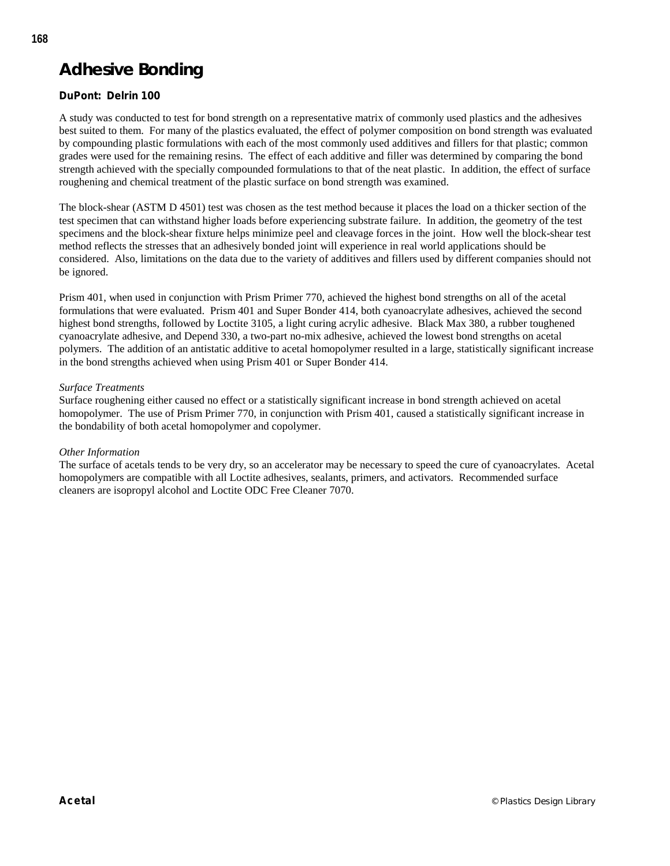# **Adhesive Bonding**

### **DuPont: Delrin 100**

A study was conducted to test for bond strength on a representative matrix of commonly used plastics and the adhesives best suited to them. For many of the plastics evaluated, the effect of polymer composition on bond strength was evaluated by compounding plastic formulations with each of the most commonly used additives and fillers for that plastic; common grades were used for the remaining resins. The effect of each additive and filler was determined by comparing the bond strength achieved with the specially compounded formulations to that of the neat plastic. In addition, the effect of surface roughening and chemical treatment of the plastic surface on bond strength was examined.

The block-shear (ASTM D 4501) test was chosen as the test method because it places the load on a thicker section of the test specimen that can withstand higher loads before experiencing substrate failure. In addition, the geometry of the test specimens and the block-shear fixture helps minimize peel and cleavage forces in the joint. How well the block-shear test method reflects the stresses that an adhesively bonded joint will experience in real world applications should be considered. Also, limitations on the data due to the variety of additives and fillers used by different companies should not be ignored.

Prism 401, when used in conjunction with Prism Primer 770, achieved the highest bond strengths on all of the acetal formulations that were evaluated. Prism 401 and Super Bonder 414, both cyanoacrylate adhesives, achieved the second highest bond strengths, followed by Loctite 3105, a light curing acrylic adhesive. Black Max 380, a rubber toughened cyanoacrylate adhesive, and Depend 330, a two-part no-mix adhesive, achieved the lowest bond strengths on acetal polymers. The addition of an antistatic additive to acetal homopolymer resulted in a large, statistically significant increase in the bond strengths achieved when using Prism 401 or Super Bonder 414.

#### *Surface Treatments*

Surface roughening either caused no effect or a statistically significant increase in bond strength achieved on acetal homopolymer. The use of Prism Primer 770, in conjunction with Prism 401, caused a statistically significant increase in the bondability of both acetal homopolymer and copolymer.

#### *Other Information*

The surface of acetals tends to be very dry, so an accelerator may be necessary to speed the cure of cyanoacrylates. Acetal homopolymers are compatible with all Loctite adhesives, sealants, primers, and activators. Recommended surface cleaners are isopropyl alcohol and Loctite ODC Free Cleaner 7070.